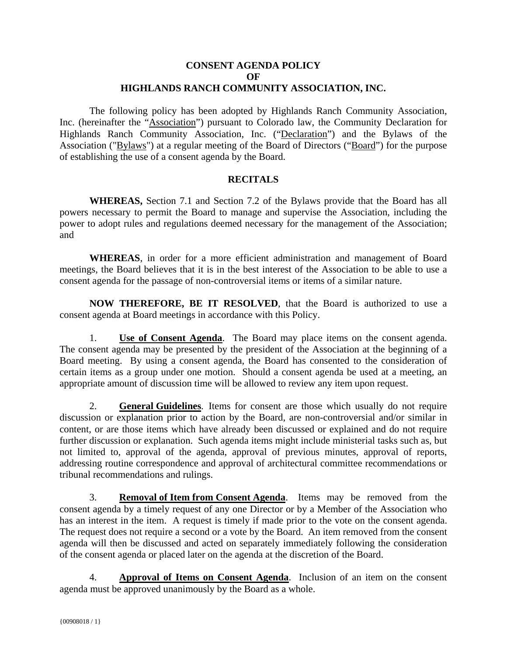## **CONSENT AGENDA POLICY**   $\Omega$ **F HIGHLANDS RANCH COMMUNITY ASSOCIATION, INC.**

 The following policy has been adopted by Highlands Ranch Community Association, Inc. (hereinafter the "Association") pursuant to Colorado law, the Community Declaration for Highlands Ranch Community Association, Inc. ("Declaration") and the Bylaws of the Association ("Bylaws") at a regular meeting of the Board of Directors ("Board") for the purpose of establishing the use of a consent agenda by the Board.

## **RECITALS**

 **WHEREAS,** Section 7.1 and Section 7.2 of the Bylaws provide that the Board has all powers necessary to permit the Board to manage and supervise the Association, including the power to adopt rules and regulations deemed necessary for the management of the Association; and

 **WHEREAS**, in order for a more efficient administration and management of Board meetings, the Board believes that it is in the best interest of the Association to be able to use a consent agenda for the passage of non-controversial items or items of a similar nature.

**NOW THEREFORE, BE IT RESOLVED**, that the Board is authorized to use a consent agenda at Board meetings in accordance with this Policy.

 1. **Use of Consent Agenda**. The Board may place items on the consent agenda. The consent agenda may be presented by the president of the Association at the beginning of a Board meeting. By using a consent agenda, the Board has consented to the consideration of certain items as a group under one motion. Should a consent agenda be used at a meeting, an appropriate amount of discussion time will be allowed to review any item upon request.

 2. **General Guidelines**. Items for consent are those which usually do not require discussion or explanation prior to action by the Board, are non-controversial and/or similar in content, or are those items which have already been discussed or explained and do not require further discussion or explanation. Such agenda items might include ministerial tasks such as, but not limited to, approval of the agenda, approval of previous minutes, approval of reports, addressing routine correspondence and approval of architectural committee recommendations or tribunal recommendations and rulings.

 3. **Removal of Item from Consent Agenda**. Items may be removed from the consent agenda by a timely request of any one Director or by a Member of the Association who has an interest in the item. A request is timely if made prior to the vote on the consent agenda. The request does not require a second or a vote by the Board. An item removed from the consent agenda will then be discussed and acted on separately immediately following the consideration of the consent agenda or placed later on the agenda at the discretion of the Board.

 4. **Approval of Items on Consent Agenda**. Inclusion of an item on the consent agenda must be approved unanimously by the Board as a whole.